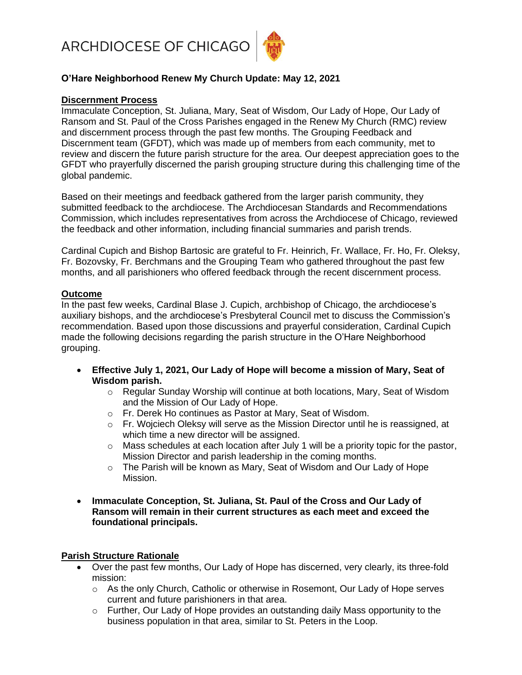

# **O'Hare Neighborhood Renew My Church Update: May 12, 2021**

#### **Discernment Process**

Immaculate Conception, St. Juliana, Mary, Seat of Wisdom, Our Lady of Hope, Our Lady of Ransom and St. Paul of the Cross Parishes engaged in the Renew My Church (RMC) review and discernment process through the past few months. The Grouping Feedback and Discernment team (GFDT), which was made up of members from each community, met to review and discern the future parish structure for the area. Our deepest appreciation goes to the GFDT who prayerfully discerned the parish grouping structure during this challenging time of the global pandemic.

Based on their meetings and feedback gathered from the larger parish community, they submitted feedback to the archdiocese. The Archdiocesan Standards and Recommendations Commission, which includes representatives from across the Archdiocese of Chicago, reviewed the feedback and other information, including financial summaries and parish trends.

Cardinal Cupich and Bishop Bartosic are grateful to Fr. Heinrich, Fr. Wallace, Fr. Ho, Fr. Oleksy, Fr. Bozovsky, Fr. Berchmans and the Grouping Team who gathered throughout the past few months, and all parishioners who offered feedback through the recent discernment process.

### **Outcome**

In the past few weeks, Cardinal Blase J. Cupich, archbishop of Chicago, the archdiocese's auxiliary bishops, and the archdiocese's Presbyteral Council met to discuss the Commission's recommendation. Based upon those discussions and prayerful consideration, Cardinal Cupich made the following decisions regarding the parish structure in the O'Hare Neighborhood grouping.

- **Effective July 1, 2021, Our Lady of Hope will become a mission of Mary, Seat of Wisdom parish.** 
	- $\circ$  Regular Sunday Worship will continue at both locations, Mary, Seat of Wisdom and the Mission of Our Lady of Hope.
	- o Fr. Derek Ho continues as Pastor at Mary, Seat of Wisdom.
	- $\circ$  Fr. Wojciech Oleksy will serve as the Mission Director until he is reassigned, at which time a new director will be assigned.
	- $\circ$  Mass schedules at each location after July 1 will be a priority topic for the pastor, Mission Director and parish leadership in the coming months.
	- $\circ$  The Parish will be known as Mary, Seat of Wisdom and Our Lady of Hope Mission.
- **Immaculate Conception, St. Juliana, St. Paul of the Cross and Our Lady of Ransom will remain in their current structures as each meet and exceed the foundational principals.**

### **Parish Structure Rationale**

- Over the past few months, Our Lady of Hope has discerned, very clearly, its three-fold mission:
	- $\circ$  As the only Church, Catholic or otherwise in Rosemont, Our Lady of Hope serves current and future parishioners in that area.
	- $\circ$  Further, Our Lady of Hope provides an outstanding daily Mass opportunity to the business population in that area, similar to St. Peters in the Loop.